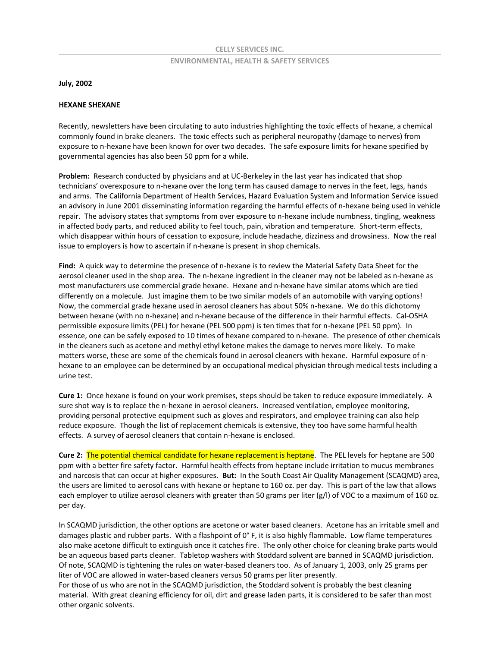## **CELLY SERVICES INC. ENVIRONMENTAL, HEALTH & SAFETY SERVICES**

**July, 2002** 

## **HEXANE SHEXANE**

Recently, newsletters have been circulating to auto industries highlighting the toxic effects of hexane, a chemical commonly found in brake cleaners. The toxic effects such as peripheral neuropathy (damage to nerves) from exposure to n-hexane have been known for over two decades. The safe exposure limits for hexane specified by governmental agencies has also been 50 ppm for a while.

**Problem:** Research conducted by physicians and at UC-Berkeley in the last year has indicated that shop technicians' overexposure to n-hexane over the long term has caused damage to nerves in the feet, legs, hands and arms. The California Department of Health Services, Hazard Evaluation System and Information Service issued an advisory in June 2001 disseminating information regarding the harmful effects of n-hexane being used in vehicle repair. The advisory states that symptoms from over exposure to n-hexane include numbness, tingling, weakness in affected body parts, and reduced ability to feel touch, pain, vibration and temperature. Short-term effects, which disappear within hours of cessation to exposure, include headache, dizziness and drowsiness. Now the real issue to employers is how to ascertain if n-hexane is present in shop chemicals.

**Find:** A quick way to determine the presence of n-hexane is to review the Material Safety Data Sheet for the aerosol cleaner used in the shop area. The n-hexane ingredient in the cleaner may not be labeled as n-hexane as most manufacturers use commercial grade hexane. Hexane and n-hexane have similar atoms which are tied differently on a molecule. Just imagine them to be two similar models of an automobile with varying options! Now, the commercial grade hexane used in aerosol cleaners has about 50% n-hexane. We do this dichotomy between hexane (with no n-hexane) and n-hexane because of the difference in their harmful effects. Cal-OSHA permissible exposure limits (PEL) for hexane (PEL 500 ppm) is ten times that for n-hexane (PEL 50 ppm). In essence, one can be safely exposed to 10 times of hexane compared to n-hexane. The presence of other chemicals in the cleaners such as acetone and methyl ethyl ketone makes the damage to nerves more likely. To make matters worse, these are some of the chemicals found in aerosol cleaners with hexane. Harmful exposure of nhexane to an employee can be determined by an occupational medical physician through medical tests including a urine test.

**Cure 1:** Once hexane is found on your work premises, steps should be taken to reduce exposure immediately. A sure shot way is to replace the n-hexane in aerosol cleaners. Increased ventilation, employee monitoring, providing personal protective equipment such as gloves and respirators, and employee training can also help reduce exposure. Though the list of replacement chemicals is extensive, they too have some harmful health effects. A survey of aerosol cleaners that contain n-hexane is enclosed.

**Cure 2:** The potential chemical candidate for hexane replacement is heptane. The PEL levels for heptane are 500 ppm with a better fire safety factor. Harmful health effects from heptane include irritation to mucus membranes and narcosis that can occur at higher exposures. **But:** In the South Coast Air Quality Management (SCAQMD) area, the users are limited to aerosol cans with hexane or heptane to 160 oz. per day. This is part of the law that allows each employer to utilize aerosol cleaners with greater than 50 grams per liter (g/l) of VOC to a maximum of 160 oz. per day.

In SCAQMD jurisdiction, the other options are acetone or water based cleaners. Acetone has an irritable smell and damages plastic and rubber parts. With a flashpoint of 0° F, it is also highly flammable. Low flame temperatures also make acetone difficult to extinguish once it catches fire. The only other choice for cleaning brake parts would be an aqueous based parts cleaner. Tabletop washers with Stoddard solvent are banned in SCAQMD jurisdiction. Of note, SCAQMD is tightening the rules on water-based cleaners too. As of January 1, 2003, only 25 grams per liter of VOC are allowed in water-based cleaners versus 50 grams per liter presently.

For those of us who are not in the SCAQMD jurisdiction, the Stoddard solvent is probably the best cleaning material. With great cleaning efficiency for oil, dirt and grease laden parts, it is considered to be safer than most other organic solvents.